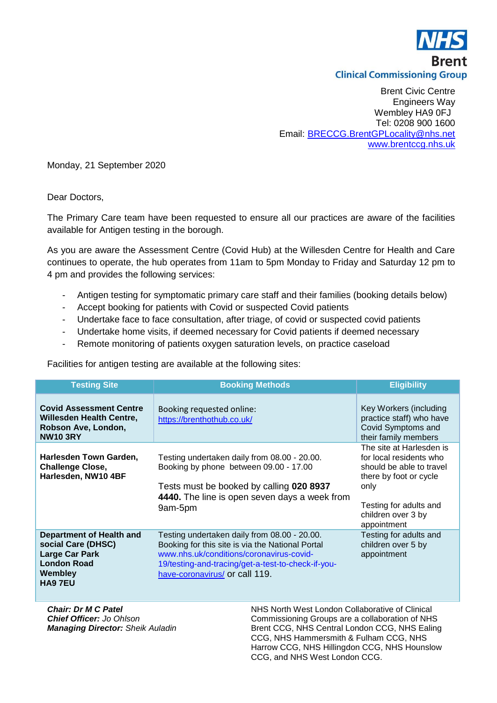

Brent Civic Centre Engineers Way Wembley HA9 0FJ Tel: 0208 900 1600 Email: [BRECCG.BrentGPLocality@nhs.net](mailto:BRECCG.BrentGPLocality@nhs.net)  [www.brentccg.nhs.uk](http://www.brentccg.nhs.uk/) 

Monday, 21 September 2020

Dear Doctors,

The Primary Care team have been requested to ensure all our practices are aware of the facilities available for Antigen testing in the borough.

As you are aware the Assessment Centre (Covid Hub) at the Willesden Centre for Health and Care continues to operate, the hub operates from 11am to 5pm Monday to Friday and Saturday 12 pm to 4 pm and provides the following services:

- Antigen testing for symptomatic primary care staff and their families (booking details below)
- Accept booking for patients with Covid or suspected Covid patients
- Undertake face to face consultation, after triage, of covid or suspected covid patients
- Undertake home visits, if deemed necessary for Covid patients if deemed necessary
- Remote monitoring of patients oxygen saturation levels, on practice caseload

Facilities for antigen testing are available at the following sites:

| <b>Testing Site</b>                                                                                                 | <b>Booking Methods</b>                                                                                                                                                                                                               | <b>Eligibility</b>                                                                                                                                                               |
|---------------------------------------------------------------------------------------------------------------------|--------------------------------------------------------------------------------------------------------------------------------------------------------------------------------------------------------------------------------------|----------------------------------------------------------------------------------------------------------------------------------------------------------------------------------|
| <b>Covid Assessment Centre</b><br><b>Willesden Health Centre,</b><br>Robson Ave, London,<br><b>NW10 3RY</b>         | Booking requested online:<br>https://brenthothub.co.uk/                                                                                                                                                                              | Key Workers (including<br>practice staff) who have<br>Covid Symptoms and<br>their family members                                                                                 |
| Harlesden Town Garden,<br><b>Challenge Close,</b><br>Harlesden, NW10 4BF                                            | Testing undertaken daily from 08.00 - 20.00.<br>Booking by phone between 09.00 - 17.00<br>Tests must be booked by calling 020 8937<br>4440. The line is open seven days a week from<br>9am-5pm                                       | The site at Harlesden is<br>for local residents who<br>should be able to travel<br>there by foot or cycle<br>only<br>Testing for adults and<br>children over 3 by<br>appointment |
| <b>Department of Health and</b><br>social Care (DHSC)<br>Large Car Park<br><b>London Road</b><br>Wembley<br>HA9 7EU | Testing undertaken daily from 08.00 - 20.00.<br>Booking for this site is via the National Portal<br>www.nhs.uk/conditions/coronavirus-covid-<br>19/testing-and-tracing/get-a-test-to-check-if-you-<br>have-coronavirus/ or call 119. | Testing for adults and<br>children over 5 by<br>appointment                                                                                                                      |
| <b>Chair: Dr M C Patel</b>                                                                                          | NHS North West London Collaborative of Clinical                                                                                                                                                                                      |                                                                                                                                                                                  |

**Chief Officer:** *Jo Ohlson* **Commissioning Groups are a collaboration of NHS Managing Director:** Sheik Auladin **beich and Brent CCG, NHS Central London CCG, NHS Ealing** CCG, NHS Hammersmith & Fulham CCG, NHS Harrow CCG, NHS Hillingdon CCG, NHS Hounslow CCG, and NHS West London CCG.